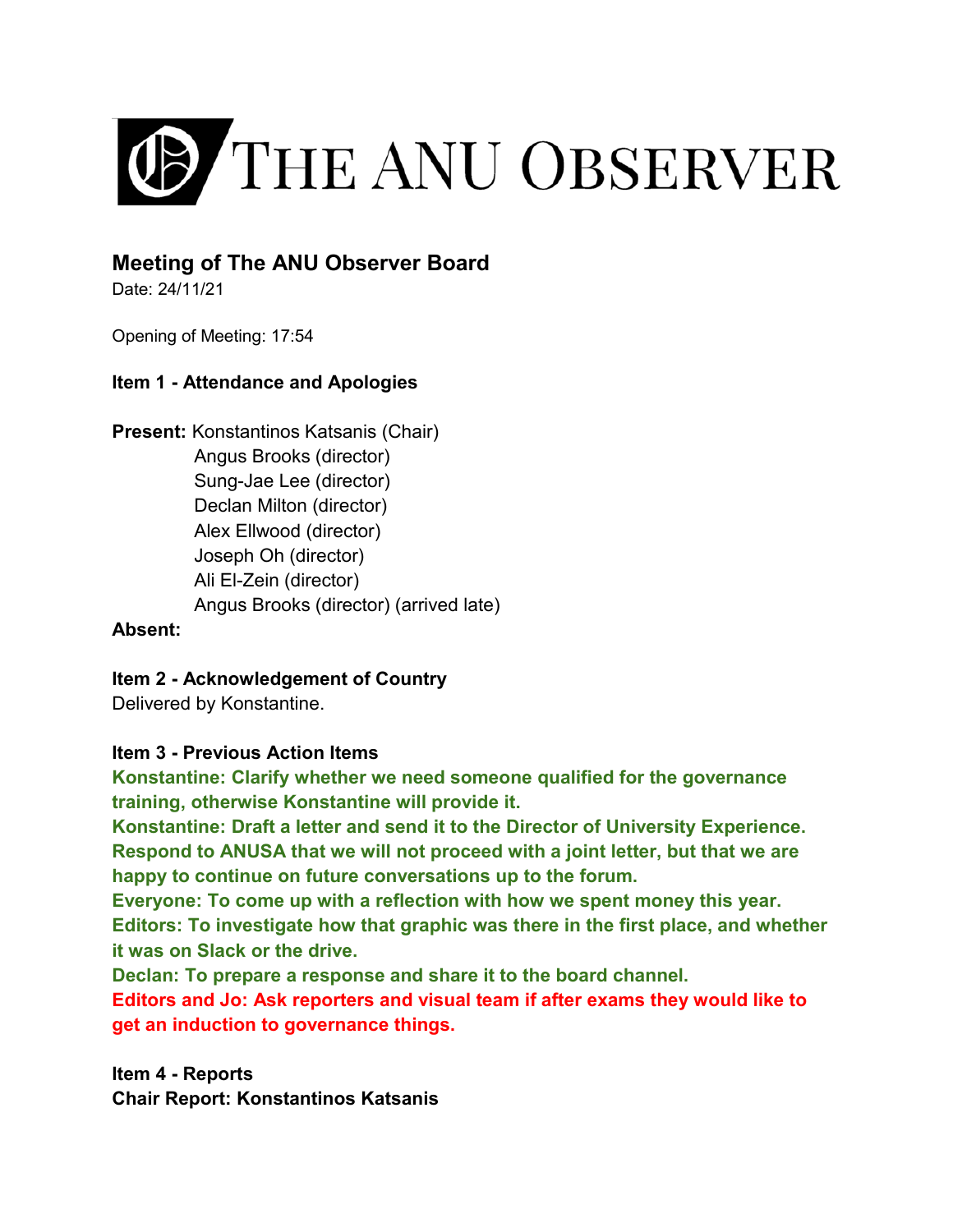

# **Meeting of The ANU Observer Board**

Date: 24/11/21

Opening of Meeting: 17:54

## **Item 1 - Attendance and Apologies**

**Present:** Konstantinos Katsanis (Chair) Angus Brooks (director) Sung-Jae Lee (director) Declan Milton (director) Alex Ellwood (director) Joseph Oh (director) Ali El-Zein (director) Angus Brooks (director) (arrived late)

## **Absent:**

**Item 2 - Acknowledgement of Country**

Delivered by Konstantine.

## **Item 3 - Previous Action Items**

**Konstantine: Clarify whether we need someone qualified for the governance training, otherwise Konstantine will provide it.** 

**Konstantine: Draft a letter and send it to the Director of University Experience. Respond to ANUSA that we will not proceed with a joint letter, but that we are happy to continue on future conversations up to the forum.** 

**Everyone: To come up with a reflection with how we spent money this year. Editors: To investigate how that graphic was there in the first place, and whether it was on Slack or the drive.** 

**Declan: To prepare a response and share it to the board channel.** 

**Editors and Jo: Ask reporters and visual team if after exams they would like to get an induction to governance things.**

**Item 4 - Reports Chair Report: Konstantinos Katsanis**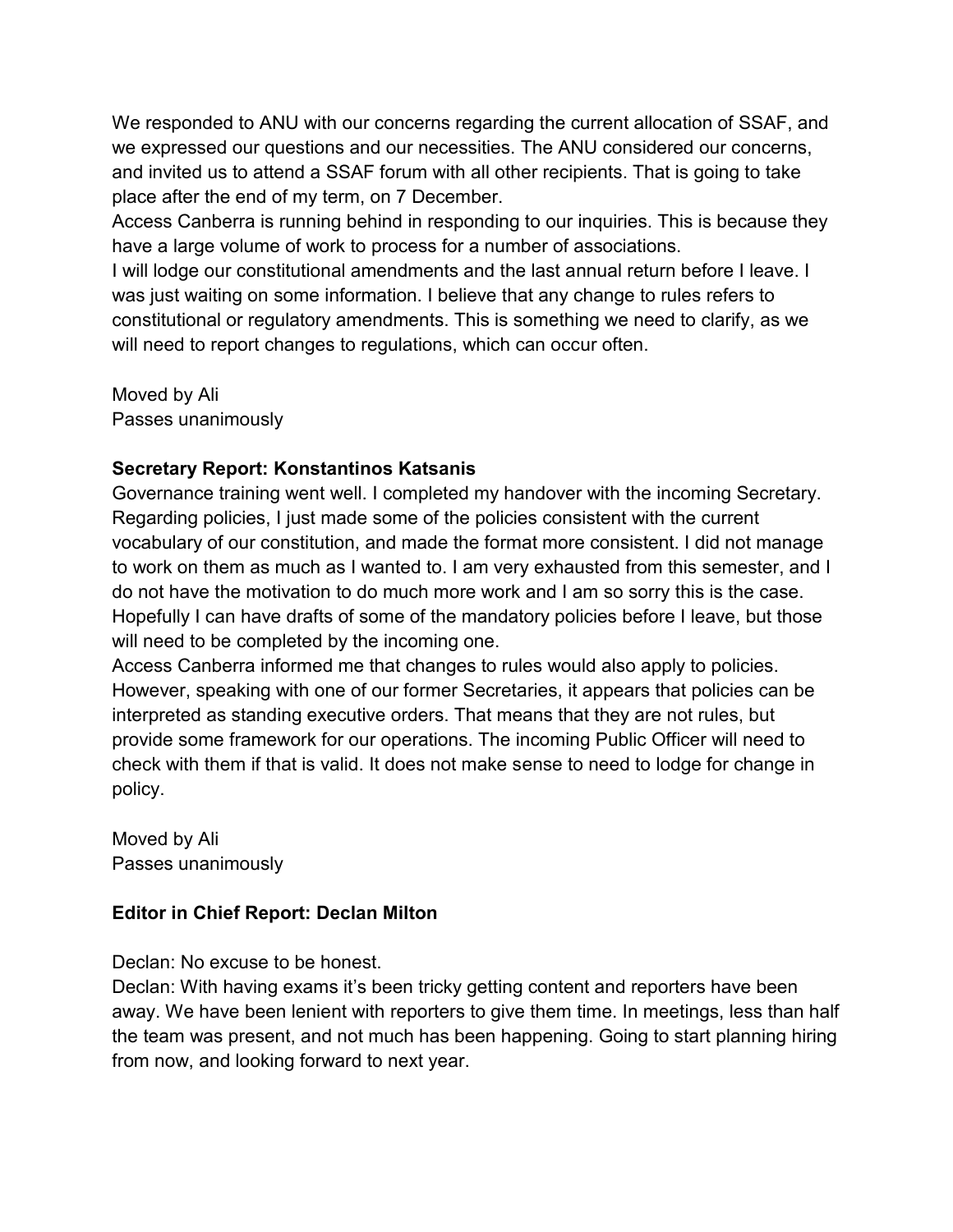We responded to ANU with our concerns regarding the current allocation of SSAF, and we expressed our questions and our necessities. The ANU considered our concerns, and invited us to attend a SSAF forum with all other recipients. That is going to take place after the end of my term, on 7 December.

Access Canberra is running behind in responding to our inquiries. This is because they have a large volume of work to process for a number of associations.

I will lodge our constitutional amendments and the last annual return before I leave. I was just waiting on some information. I believe that any change to rules refers to constitutional or regulatory amendments. This is something we need to clarify, as we will need to report changes to regulations, which can occur often.

Moved by Ali Passes unanimously

## **Secretary Report: Konstantinos Katsanis**

Governance training went well. I completed my handover with the incoming Secretary. Regarding policies, I just made some of the policies consistent with the current vocabulary of our constitution, and made the format more consistent. I did not manage to work on them as much as I wanted to. I am very exhausted from this semester, and I do not have the motivation to do much more work and I am so sorry this is the case. Hopefully I can have drafts of some of the mandatory policies before I leave, but those will need to be completed by the incoming one.

Access Canberra informed me that changes to rules would also apply to policies. However, speaking with one of our former Secretaries, it appears that policies can be interpreted as standing executive orders. That means that they are not rules, but provide some framework for our operations. The incoming Public Officer will need to check with them if that is valid. It does not make sense to need to lodge for change in policy.

Moved by Ali Passes unanimously

## **Editor in Chief Report: Declan Milton**

Declan: No excuse to be honest.

Declan: With having exams it's been tricky getting content and reporters have been away. We have been lenient with reporters to give them time. In meetings, less than half the team was present, and not much has been happening. Going to start planning hiring from now, and looking forward to next year.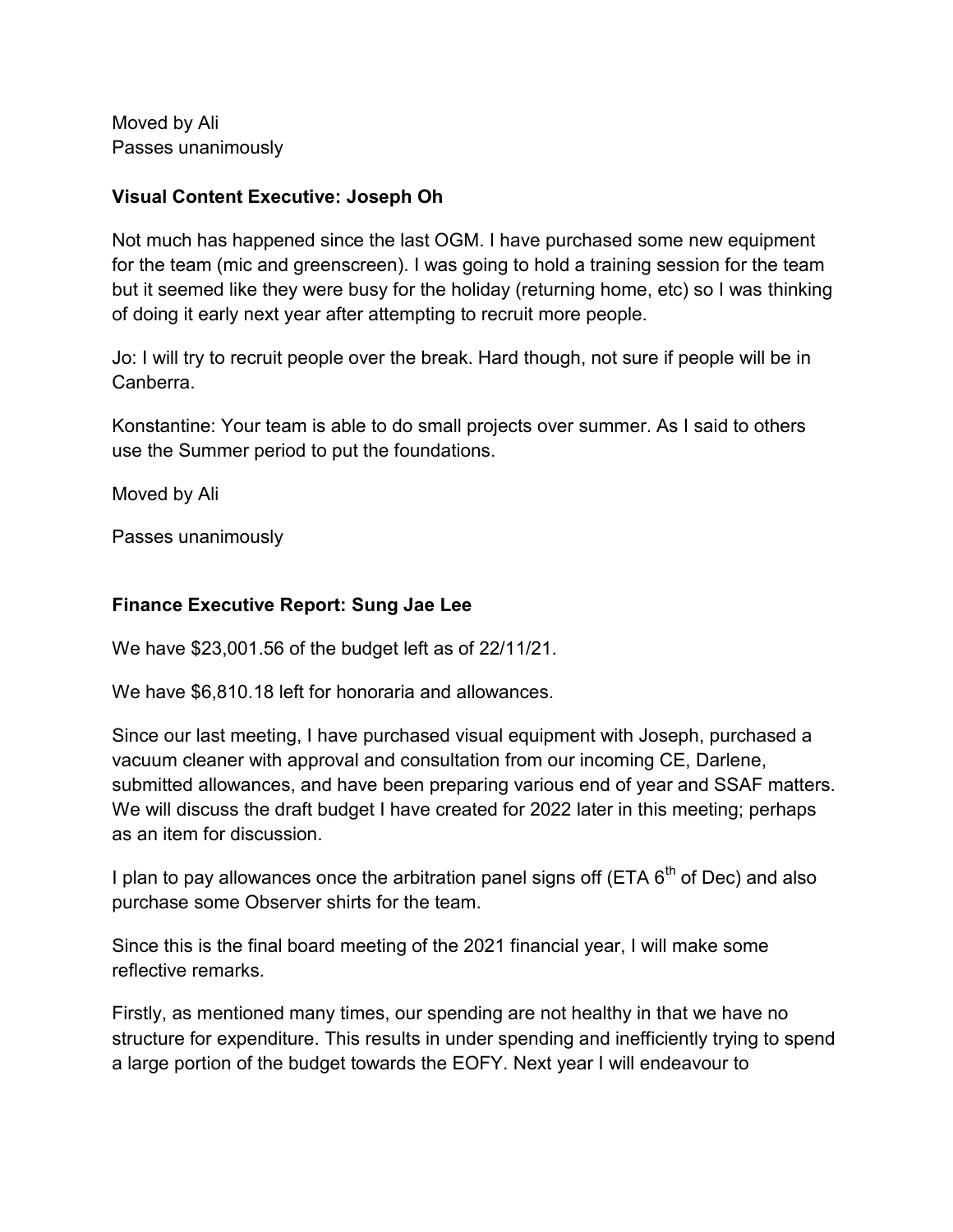Moved by Ali Passes unanimously

## **Visual Content Executive: Joseph Oh**

Not much has happened since the last OGM. I have purchased some new equipment for the team (mic and greenscreen). I was going to hold a training session for the team but it seemed like they were busy for the holiday (returning home, etc) so I was thinking of doing it early next year after attempting to recruit more people.

Jo: I will try to recruit people over the break. Hard though, not sure if people will be in Canberra.

Konstantine: Your team is able to do small projects over summer. As I said to others use the Summer period to put the foundations.

Moved by Ali

Passes unanimously

### **Finance Executive Report: Sung Jae Lee**

We have \$23,001.56 of the budget left as of 22/11/21.

We have \$6,810.18 left for honoraria and allowances.

Since our last meeting, I have purchased visual equipment with Joseph, purchased a vacuum cleaner with approval and consultation from our incoming CE, Darlene, submitted allowances, and have been preparing various end of year and SSAF matters. We will discuss the draft budget I have created for 2022 later in this meeting; perhaps as an item for discussion.

I plan to pay allowances once the arbitration panel signs off (ETA  $6<sup>th</sup>$  of Dec) and also purchase some Observer shirts for the team.

Since this is the final board meeting of the 2021 financial year, I will make some reflective remarks.

Firstly, as mentioned many times, our spending are not healthy in that we have no structure for expenditure. This results in under spending and inefficiently trying to spend a large portion of the budget towards the EOFY. Next year I will endeavour to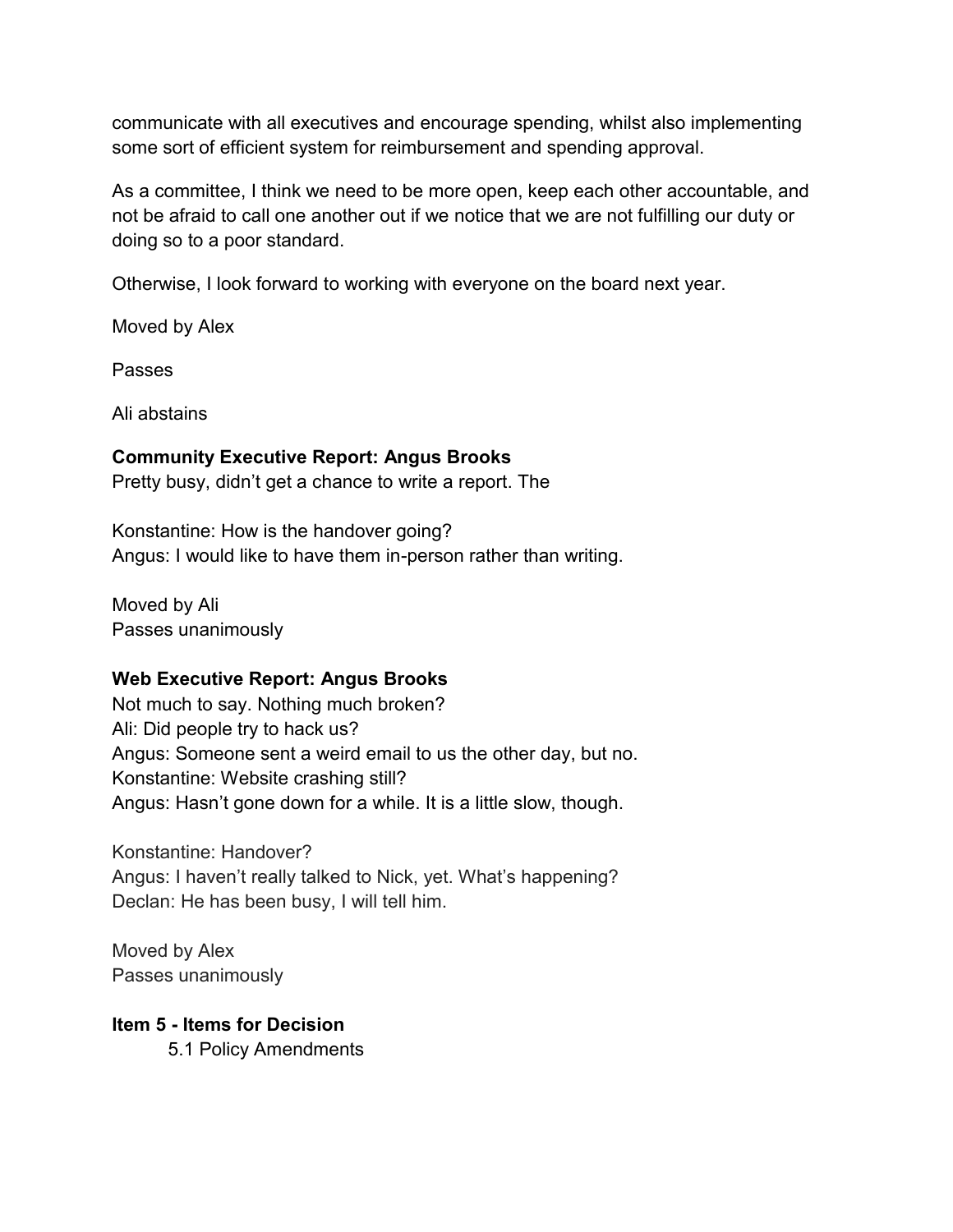communicate with all executives and encourage spending, whilst also implementing some sort of efficient system for reimbursement and spending approval.

As a committee, I think we need to be more open, keep each other accountable, and not be afraid to call one another out if we notice that we are not fulfilling our duty or doing so to a poor standard.

Otherwise, I look forward to working with everyone on the board next year.

Moved by Alex

Passes

Ali abstains

## **Community Executive Report: Angus Brooks**

Pretty busy, didn't get a chance to write a report. The

Konstantine: How is the handover going? Angus: I would like to have them in-person rather than writing.

Moved by Ali Passes unanimously

## **Web Executive Report: Angus Brooks**

Not much to say. Nothing much broken? Ali: Did people try to hack us? Angus: Someone sent a weird email to us the other day, but no. Konstantine: Website crashing still? Angus: Hasn't gone down for a while. It is a little slow, though.

Konstantine: Handover? Angus: I haven't really talked to Nick, yet. What's happening? Declan: He has been busy, I will tell him.

Moved by Alex Passes unanimously

## **Item 5 - Items for Decision**

5.1 Policy Amendments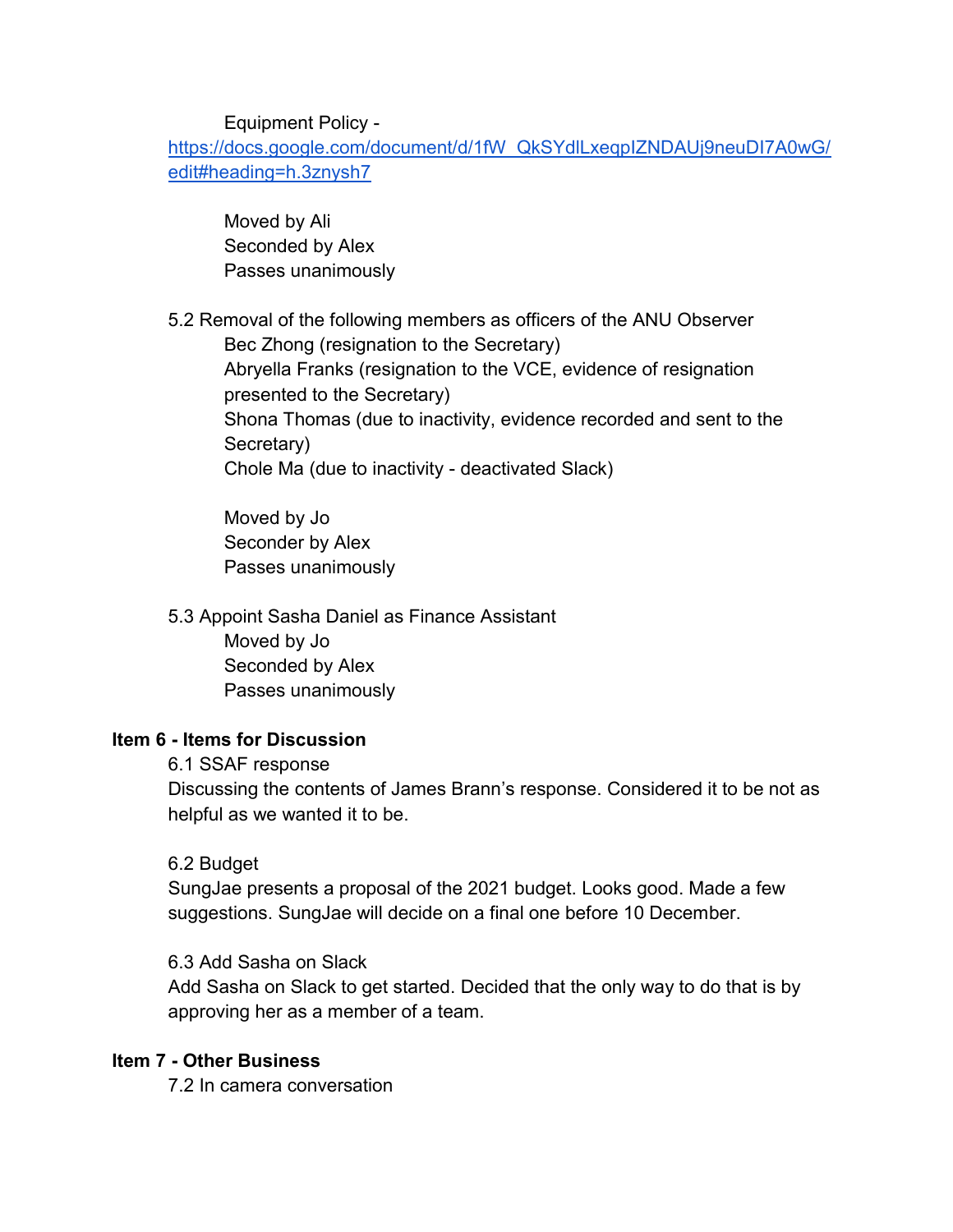Equipment Policy -

[https://docs.google.com/document/d/1fW\\_QkSYdlLxeqpIZNDAUj9neuDI7A0wG/](https://docs.google.com/document/d/1fW_QkSYdlLxeqpIZNDAUj9neuDI7A0wG/edit#heading=h.3znysh7) [edit#heading=h.3znysh7](https://docs.google.com/document/d/1fW_QkSYdlLxeqpIZNDAUj9neuDI7A0wG/edit#heading=h.3znysh7)

Moved by Ali Seconded by Alex Passes unanimously

5.2 Removal of the following members as officers of the ANU Observer Bec Zhong (resignation to the Secretary) Abryella Franks (resignation to the VCE, evidence of resignation presented to the Secretary) Shona Thomas (due to inactivity, evidence recorded and sent to the Secretary) Chole Ma (due to inactivity - deactivated Slack)

 Moved by Jo Seconder by Alex Passes unanimously

 5.3 Appoint Sasha Daniel as Finance Assistant Moved by Jo Seconded by Alex Passes unanimously

### **Item 6 - Items for Discussion**

6.1 SSAF response

Discussing the contents of James Brann's response. Considered it to be not as helpful as we wanted it to be.

6.2 Budget

SungJae presents a proposal of the 2021 budget. Looks good. Made a few suggestions. SungJae will decide on a final one before 10 December.

6.3 Add Sasha on Slack

Add Sasha on Slack to get started. Decided that the only way to do that is by approving her as a member of a team.

#### **Item 7 - Other Business**

7.2 In camera conversation